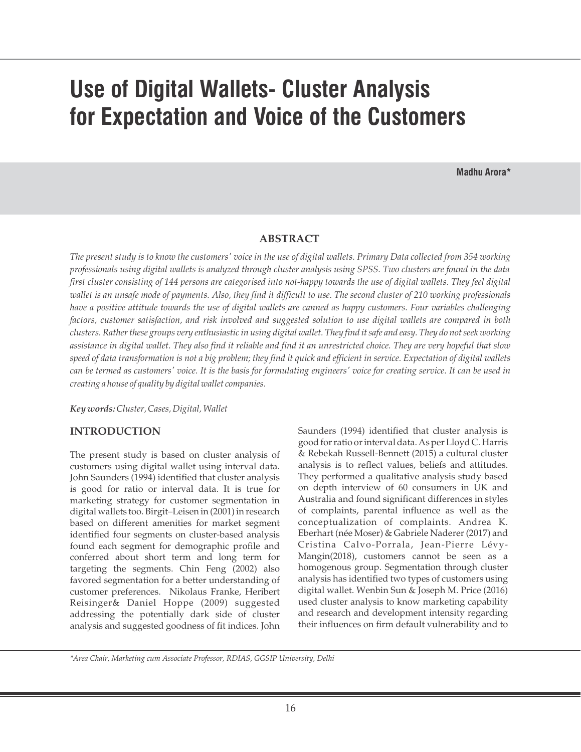# **Use of Digital Wallets- Cluster Analysis for Expectation and Voice of the Customers**

**Madhu Arora\***

#### **ABSTRACT**

*The present study is to know the customers' voice in the use of digital wallets. Primary Data collected from 354 working professionals using digital wallets is analyzed through cluster analysis using SPSS. Two clusters are found in the data*  first cluster consisting of 144 persons are categorised into not-happy towards the use of digital wallets. They feel digital *wallet is an unsafe mode of payments. Also, they find it difficult to use. The second cluster of 210 working professionals have a positive attitude towards the use of digital wallets are canned as happy customers. Four variables challenging factors, customer satisfaction, and risk involved and suggested solution to use digital wallets are compared in both clusters. Rather these groups very enthusiastic in using digital wallet. They find it safe and easy. They do not seek working assistance in digital wallet. They also find it reliable and find it an unrestricted choice. They are very hopeful that slow speed of data transformation is not a big problem; they find it quick and efficient in service. Expectation of digital wallets can be termed as customers' voice. It is the basis for formulating engineers' voice for creating service. It can be used in creating a house of quality by digital wallet companies.*

*Key words:Cluster, Cases, Digital, Wallet*

#### **INTRODUCTION**

The present study is based on cluster analysis of customers using digital wallet using interval data. John Saunders (1994) identified that cluster analysis is good for ratio or interval data. It is true for marketing strategy for customer segmentation in digital wallets too. Birgit–Leisen in (2001) in research based on different amenities for market segment identified four segments on cluster-based analysis found each segment for demographic profile and conferred about short term and long term for targeting the segments. Chin Feng (2002) also favored segmentation for a better understanding of customer preferences. Nikolaus Franke, Heribert Reisinger& Daniel Hoppe (2009) suggested addressing the potentially dark side of cluster analysis and suggested goodness of fit indices. John

Saunders (1994) identified that cluster analysis is good for ratio or interval data. As per Lloyd C. Harris & Rebekah Russell-Bennett (2015) a cultural cluster analysis is to reflect values, beliefs and attitudes. They performed a qualitative analysis study based on depth interview of 60 consumers in UK and Australia and found significant differences in styles of complaints, parental influence as well as the conceptualization of complaints. Andrea K. Eberhart (née Moser) & Gabriele Naderer (2017) and Cristina Calvo-Porrala, Jean-Pierre Lévy-Mangin(2018), customers cannot be seen as a homogenous group. Segmentation through cluster analysis has identified two types of customers using digital wallet. Wenbin Sun & Joseph M. Price (2016) used cluster analysis to know marketing capability and research and development intensity regarding their influences on firm default vulnerability and to

*\*Area Chair, Marketing cum Associate Professor, RDIAS, GGSIP University, Delhi*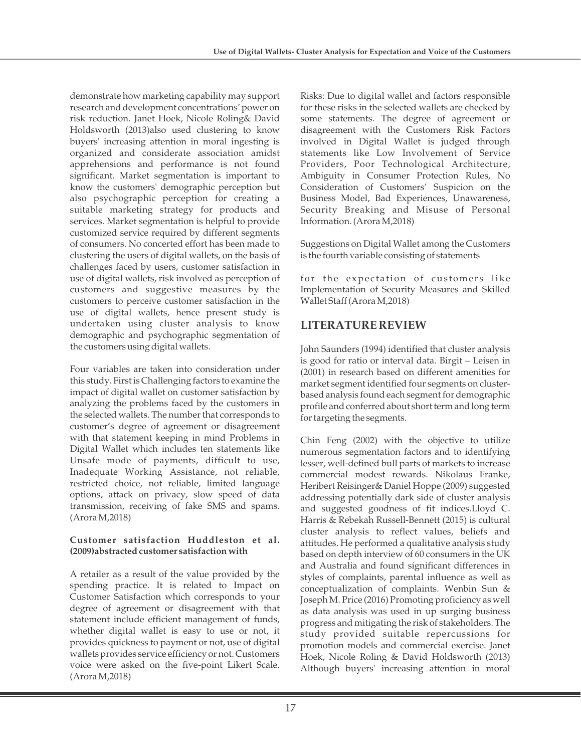demonstrate how marketing capability may support research and development concentrations' power on risk reduction. Janet Hoek, Nicole Roling& David Holdsworth (2013)also used clustering to know buyers' increasing attention in moral ingesting is organized and considerate association amidst apprehensions and performance is not found significant. Market segmentation is important to know the customers' demographic perception but also psychographic perception for creating a suitable marketing strategy for products and services. Market segmentation is helpful to provide customized service required by different segments of consumers. No concerted effort has been made to clustering the users of digital wallets, on the basis of challenges faced by users, customer satisfaction in use of digital wallets, risk involved as perception of customers and suggestive measures by the customers to perceive customer satisfaction in the use of digital wallets, hence present study is undertaken using cluster analysis to know demographic and psychographic segmentation of the customers using digital wallets.

Four variables are taken into consideration under this study. First is Challenging factors to examine the impact of digital wallet on customer satisfaction by analyzing the problems faced by the customers in the selected wallets. The number that corresponds to customer's degree of agreement or disagreement with that statement keeping in mind Problems in Digital Wallet which includes ten statements like Unsafe mode of payments, difficult to use, Inadequate Working Assistance, not reliable, restricted choice, not reliable, limited language options, attack on privacy, slow speed of data transmission, receiving of fake SMS and spams. (Arora M,2018)

### **Customer satisfaction Huddleston et al. (2009)abstracted customer satisfaction with**

A retailer as a result of the value provided by the spending practice. It is related to Impact on Customer Satisfaction which corresponds to your degree of agreement or disagreement with that statement include efficient management of funds, whether digital wallet is easy to use or not, it provides quickness to payment or not, use of digital wallets provides service efficiency or not. Customers voice were asked on the five-point Likert Scale. (Arora M,2018)

Risks: Due to digital wallet and factors responsible for these risks in the selected wallets are checked by some statements. The degree of agreement or disagreement with the Customers Risk Factors involved in Digital Wallet is judged through statements like Low Involvement of Service Providers, Poor Technological Architecture, Ambiguity in Consumer Protection Rules, No Consideration of Customers' Suspicion on the Business Model, Bad Experiences, Unawareness, Security Breaking and Misuse of Personal Information. (Arora M,2018)

Suggestions on Digital Wallet among the Customers is the fourth variable consisting of statements

for the expectation of customers like Implementation of Security Measures and Skilled Wallet Staff (Arora M,2018)

## **LITERATURE REVIEW**

John Saunders (1994) identified that cluster analysis is good for ratio or interval data. Birgit – Leisen in (2001) in research based on different amenities for market segment identified four segments on clusterbased analysis found each segment for demographic profile and conferred about short term and long term for targeting the segments.

Chin Feng (2002) with the objective to utilize numerous segmentation factors and to identifying lesser, well-defined bull parts of markets to increase commercial modest rewards. Nikolaus Franke, Heribert Reisinger& Daniel Hoppe (2009) suggested addressing potentially dark side of cluster analysis and suggested goodness of fit indices.Lloyd C. Harris & Rebekah Russell-Bennett (2015) is cultural cluster analysis to reflect values, beliefs and attitudes. He performed a qualitative analysis study based on depth interview of 60 consumers in the UK and Australia and found significant differences in styles of complaints, parental influence as well as conceptualization of complaints. Wenbin Sun & Joseph M. Price (2016) Promoting proficiency as well as data analysis was used in up surging business progress and mitigating the risk of stakeholders. The study provided suitable repercussions for promotion models and commercial exercise. Janet Hoek, Nicole Roling & David Holdsworth (2013) Although buyers' increasing attention in moral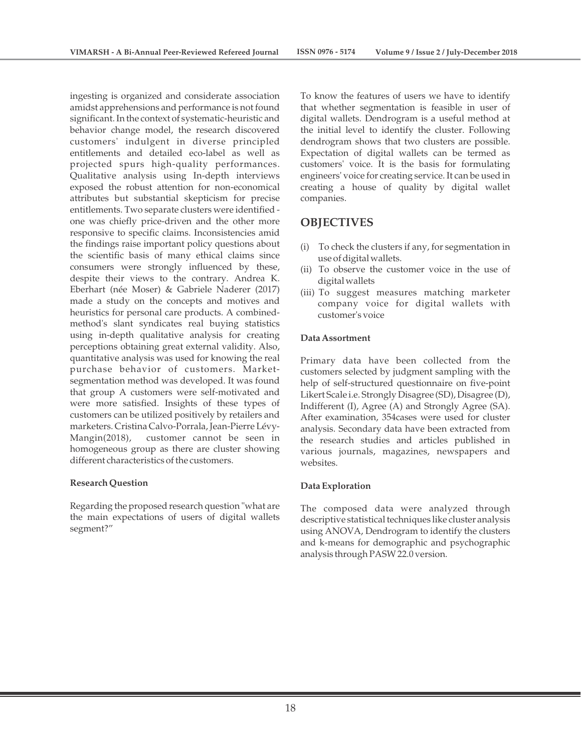ingesting is organized and considerate association amidst apprehensions and performance is not found significant. In the context of systematic-heuristic and behavior change model, the research discovered customers' indulgent in diverse principled entitlements and detailed eco-label as well as projected spurs high-quality performances. Qualitative analysis using In-depth interviews exposed the robust attention for non-economical attributes but substantial skepticism for precise entitlements. Two separate clusters were identified one was chiefly price-driven and the other more responsive to specific claims. Inconsistencies amid the findings raise important policy questions about the scientific basis of many ethical claims since consumers were strongly influenced by these, despite their views to the contrary. Andrea K. Eberhart (née Moser) & Gabriele Naderer (2017) made a study on the concepts and motives and heuristics for personal care products. A combinedmethod's slant syndicates real buying statistics using in-depth qualitative analysis for creating perceptions obtaining great external validity. Also, quantitative analysis was used for knowing the real purchase behavior of customers. Marketsegmentation method was developed. It was found that group A customers were self-motivated and were more satisfied. Insights of these types of customers can be utilized positively by retailers and marketers. Cristina Calvo-Porrala, Jean-Pierre Lévy-Mangin(2018), customer cannot be seen in homogeneous group as there are cluster showing different characteristics of the customers.

#### **Research Question**

Regarding the proposed research question "what are the main expectations of users of digital wallets segment?"

To know the features of users we have to identify that whether segmentation is feasible in user of digital wallets. Dendrogram is a useful method at the initial level to identify the cluster. Following dendrogram shows that two clusters are possible. Expectation of digital wallets can be termed as customers' voice. It is the basis for formulating engineers' voice for creating service. It can be used in creating a house of quality by digital wallet companies.

## **OBJECTIVES**

- (i) To check the clusters if any, for segmentation in use of digital wallets.
- (ii) To observe the customer voice in the use of digital wallets
- (iii) To suggest measures matching marketer company voice for digital wallets with customer's voice

#### **Data Assortment**

Primary data have been collected from the customers selected by judgment sampling with the help of self-structured questionnaire on five-point Likert Scale i.e. Strongly Disagree (SD), Disagree (D), Indifferent (I), Agree (A) and Strongly Agree (SA). After examination, 354cases were used for cluster analysis. Secondary data have been extracted from the research studies and articles published in various journals, magazines, newspapers and websites.

#### **Data Exploration**

The composed data were analyzed through descriptive statistical techniques like cluster analysis using ANOVA, Dendrogram to identify the clusters and k-means for demographic and psychographic analysis through PASW 22.0 version.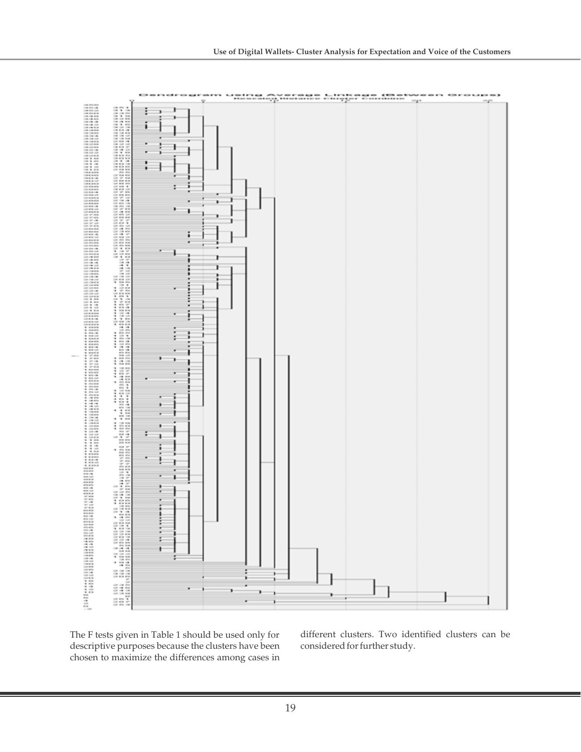

The F tests given in Table 1 should be used only for descriptive purposes because the clusters have been chosen to maximize the differences among cases in

different clusters. Two identified clusters can be considered for further study.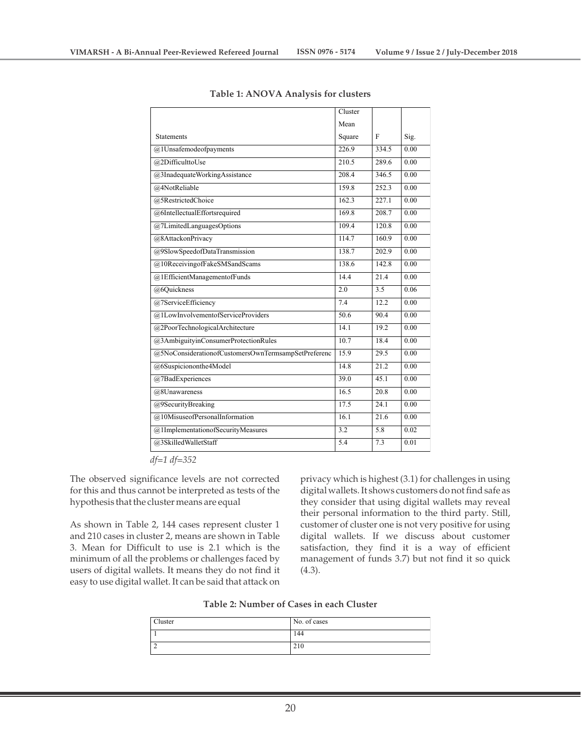|                                                     | Cluster           |       |      |
|-----------------------------------------------------|-------------------|-------|------|
|                                                     | Mean              |       |      |
| <b>Statements</b>                                   | Square            | F     | Sig. |
| @1Unsafemodeofpayments                              | 226.9             | 334.5 | 0.00 |
| @2DifficulttoUse                                    | 210.5             | 289.6 | 0.00 |
| @3InadequateWorkingAssistance                       | 208.4             | 3465  | 0.00 |
| @4NotReliable                                       | 159.8             | 252.3 | 0.00 |
| @5RestrictedChoice                                  | 162.3             | 227.1 | 0.00 |
| @6IntellectualEffortsrequired                       | 169.8             | 208.7 | 0.00 |
| @7LimitedLanguagesOptions                           | 109.4             | 120.8 | 0.00 |
| @8AttackonPrivacy                                   | 114.7             | 160.9 | 0.00 |
| @9SlowSpeedofDataTransmission                       | 138.7             | 202.9 | 0.00 |
| @10ReceivingofFakeSMSandScams                       | 138.6             | 142.8 | 0.00 |
| @1EfficientManagementofFunds                        | 14.4              | 21.4  | 0.00 |
| @6Quickness                                         | 2.0               | 3.5   | 0.06 |
| @7ServiceEfficiency                                 | 7.4               | 12.2  | 0.00 |
| @1LowInvolvementofServiceProviders                  | 50.6              | 90.4  | 0.00 |
| @2PoorTechnologicalArchitecture                     | $\overline{14.1}$ | 19.2  | 0.00 |
| @3AmbiguityinConsumerProtectionRules                | 10.7              | 18.4  | 0.00 |
| @5NoConsiderationofCustomersOwnTermsampSetPreferenc | 15.9              | 29.5  | 0.00 |
| @6Suspiciononthe4Model                              | 14.8              | 21.2  | 0.00 |
| @7BadExperiences                                    | 39.0              | 45.1  | 0.00 |
| @8Unawareness                                       | 16.5              | 20.8  | 0.00 |
| @9SecurityBreaking                                  | 17.5              | 24.1  | 0.00 |
| @10MisuseofPersonalInformation                      | 16.1              | 21.6  | 0.00 |
| @1ImplementationofSecurityMeasures                  | 3.2               | 5.8   | 0.02 |
| @3SkilledWalletStaff                                | 5.4               | 7.3   | 0.01 |

**Table 1: ANOVA Analysis for clusters**

*df=1 df=352*

The observed significance levels are not corrected for this and thus cannot be interpreted as tests of the hypothesis that the cluster means are equal

As shown in Table 2, 144 cases represent cluster 1 and 210 cases in cluster 2, means are shown in Table 3. Mean for Difficult to use is 2.1 which is the minimum of all the problems or challenges faced by users of digital wallets. It means they do not find it easy to use digital wallet. It can be said that attack on

privacy which is highest (3.1) for challenges in using digital wallets. It shows customers do not find safe as they consider that using digital wallets may reveal their personal information to the third party. Still, customer of cluster one is not very positive for using digital wallets. If we discuss about customer satisfaction, they find it is a way of efficient management of funds 3.7) but not find it so quick (4.3).

| Table 2: Number of Cases in each Cluster |  |
|------------------------------------------|--|
|------------------------------------------|--|

| Cluster | No. of cases |
|---------|--------------|
|         | 144          |
|         | 210          |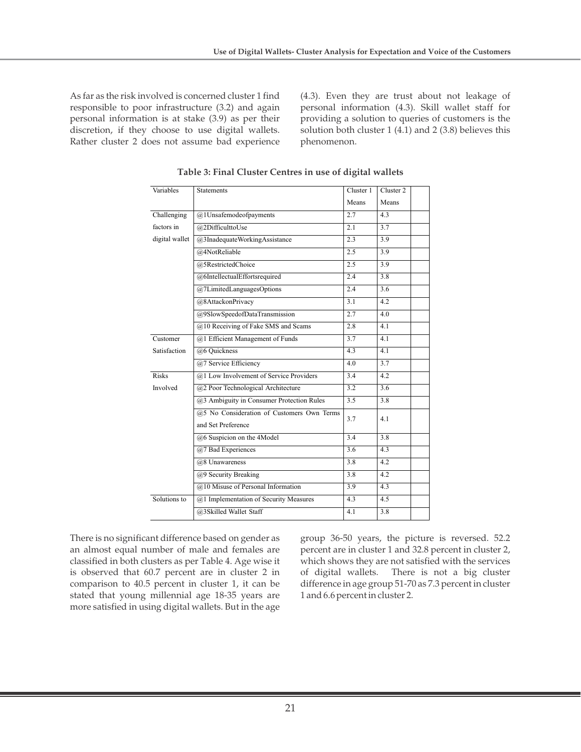As far as the risk involved is concerned cluster 1 find responsible to poor infrastructure (3.2) and again personal information is at stake (3.9) as per their discretion, if they choose to use digital wallets. Rather cluster 2 does not assume bad experience

(4.3). Even they are trust about not leakage of personal information (4.3). Skill wallet staff for providing a solution to queries of customers is the solution both cluster 1 (4.1) and 2 (3.8) believes this phenomenon.

| Variables      | <b>Statements</b>                          | Cluster 1 | Cluster <sub>2</sub> |
|----------------|--------------------------------------------|-----------|----------------------|
|                |                                            | Means     | Means                |
| Challenging    | @1Unsafemodeofpayments                     | 2.7       | 4.3                  |
| factors in     | @2DifficulttoUse                           | 2.1       | 3.7                  |
| digital wallet | @3InadequateWorkingAssistance              | 2.3       | 3.9                  |
|                | @4NotReliable                              | 2.5       | 3.9                  |
|                | @5RestrictedChoice                         | 2.5       | 3.9                  |
|                | @6IntellectualEffortsrequired              | 2.4       | 3.8                  |
|                | @7LimitedLanguagesOptions                  | 2.4       | 3.6                  |
|                | @8AttackonPrivacy                          | 3.1       | 4.2                  |
|                | @9SlowSpeedofDataTransmission              | 2.7       | 4.0                  |
|                | @10 Receiving of Fake SMS and Scams        | 2.8       | 4.1                  |
| Customer       | @1 Efficient Management of Funds           | 3.7       | 4.1                  |
| Satisfaction   | @6 Quickness                               | 4.3       | 4.1                  |
|                | @7 Service Efficiency                      | 4.0       | 3.7                  |
| <b>Risks</b>   | @1 Low Involvement of Service Providers    | 3.4       | 4.2                  |
| Involved       | @2 Poor Technological Architecture         | 3.2       | 3.6                  |
|                | @3 Ambiguity in Consumer Protection Rules  | 3.5       | 3.8                  |
|                | @5 No Consideration of Customers Own Terms | 3.7       | 4.1                  |
|                | and Set Preference                         |           |                      |
|                | @6 Suspicion on the 4Model                 | 3.4       | 3.8                  |
|                | @7 Bad Experiences                         | 3.6       | 4.3                  |
|                | @8 Unawareness                             | 3.8       | 4.2                  |
|                | @9 Security Breaking                       | 3.8       | 4.2                  |
|                | @10 Misuse of Personal Information         | 3.9       | 4.3                  |
| Solutions to   | @1 Implementation of Security Measures     | 4.3       | 4.5                  |
|                | @3Skilled Wallet Staff                     | 4.1       | 3.8                  |

**Table 3: Final Cluster Centres in use of digital wallets**

There is no significant difference based on gender as an almost equal number of male and females are classified in both clusters as per Table 4. Age wise it is observed that 60.7 percent are in cluster 2 in comparison to 40.5 percent in cluster 1, it can be stated that young millennial age 18-35 years are more satisfied in using digital wallets. But in the age

group 36-50 years, the picture is reversed. 52.2 percent are in cluster 1 and 32.8 percent in cluster 2, which shows they are not satisfied with the services of digital wallets. There is not a big cluster difference in age group 51-70 as 7.3 percent in cluster 1 and 6.6 percent in cluster 2.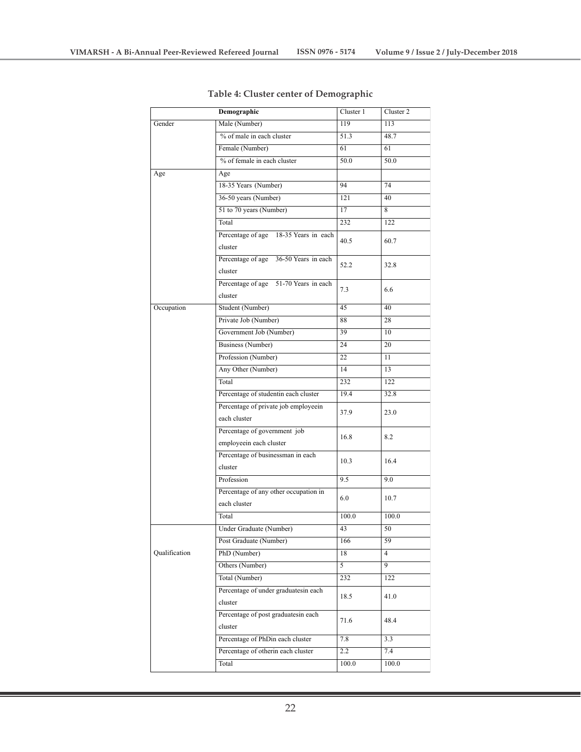|               | Demographic                                          | Cluster 1 | Cluster 2 |
|---------------|------------------------------------------------------|-----------|-----------|
| Gender        | Male (Number)                                        | 119       | 113       |
|               | % of male in each cluster                            | 51.3      | 48.7      |
|               | Female (Number)                                      | 61        | 61        |
|               | % of female in each cluster                          | 50.0      | 50.0      |
| Age           | Age                                                  |           |           |
|               | 18-35 Years (Number)                                 | 94        | 74        |
|               | 36-50 years (Number)                                 | 121       | 40        |
|               | 51 to 70 years (Number)                              | 17        | 8         |
|               | Total                                                | 232       | 122       |
|               | Percentage of age 18-35 Years in each<br>cluster     | 40.5      | 60.7      |
|               | Percentage of age 36-50 Years in each<br>cluster     | 52.2      | 32.8      |
|               | Percentage of age 51-70 Years in each<br>cluster     | 7.3       | 6.6       |
| Occupation    | Student (Number)                                     | 45        | 40        |
|               | Private Job (Number)                                 | 88        | 28        |
|               | Government Job (Number)                              | 39        | 10        |
|               | Business (Number)                                    | 24        | 20        |
|               | Profession (Number)                                  | 22        | 11        |
|               | Any Other (Number)                                   | 14        | 13        |
|               | Total                                                | 232       | 122       |
|               | Percentage of studentin each cluster                 | 19.4      | 32.8      |
|               | Percentage of private job employeein<br>each cluster | 37.9      | 23.0      |
|               | Percentage of government job                         |           |           |
|               | employeein each cluster                              | 16.8      | 8.2       |
|               | Percentage of businessman in each                    |           |           |
|               | cluster                                              | 10.3      | 16.4      |
|               | Profession                                           | 9.5       | 9.0       |
|               | Percentage of any other occupation in                |           |           |
|               | each cluster                                         | 6.0       | 10.7      |
|               | Total                                                | 100.0     | 100.0     |
|               | Under Graduate (Number)                              | 43        | 50        |
|               | Post Graduate (Number)                               | 166       | 59        |
| Qualification | PhD (Number)                                         | 18        | 4         |
|               | Others (Number)                                      | 5         | 9         |
|               | Total (Number)                                       | 232       | 122       |
|               | Percentage of under graduatesin each<br>cluster      | 18.5      | 41.0      |
|               | Percentage of post graduatesin each<br>cluster       | 71.6      | 48.4      |
|               | Percentage of PhDin each cluster                     | 7.8       | 3.3       |
|               | Percentage of otherin each cluster                   | $2.2\,$   | 7.4       |
|               | Total                                                | 100.0     | 100.0     |

## **Table 4: Cluster center of Demographic**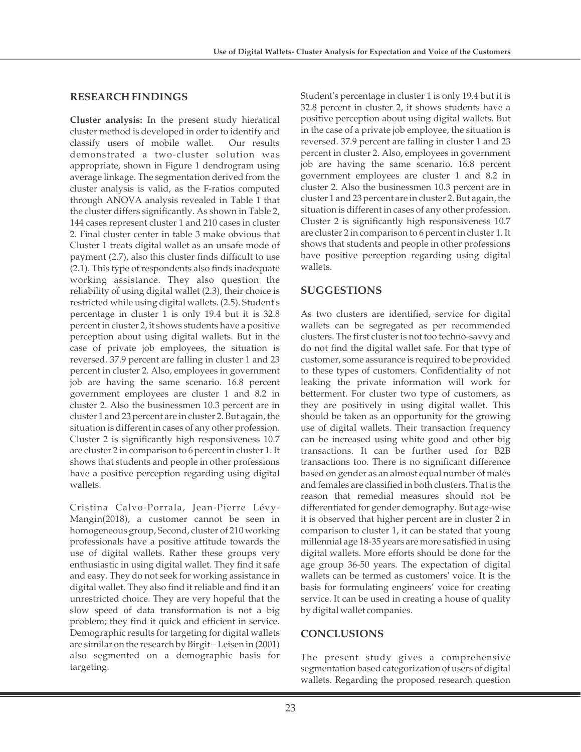## **RESEARCH FINDINGS**

**Cluster analysis:** In the present study hieratical cluster method is developed in order to identify and classify users of mobile wallet. Our results demonstrated a two-cluster solution was appropriate, shown in Figure 1 dendrogram using average linkage. The segmentation derived from the cluster analysis is valid, as the F-ratios computed through ANOVA analysis revealed in Table 1 that the cluster differs significantly. As shown in Table 2, 144 cases represent cluster 1 and 210 cases in cluster 2. Final cluster center in table 3 make obvious that Cluster 1 treats digital wallet as an unsafe mode of payment (2.7), also this cluster finds difficult to use (2.1). This type of respondents also finds inadequate working assistance. They also question the reliability of using digital wallet (2.3), their choice is restricted while using digital wallets. (2.5). Student's percentage in cluster 1 is only 19.4 but it is 32.8 percent in cluster 2, it shows students have a positive perception about using digital wallets. But in the case of private job employees, the situation is reversed. 37.9 percent are falling in cluster 1 and 23 percent in cluster 2. Also, employees in government job are having the same scenario. 16.8 percent government employees are cluster 1 and 8.2 in cluster 2. Also the businessmen 10.3 percent are in cluster 1 and 23 percent are in cluster 2. But again, the situation is different in cases of any other profession. Cluster 2 is significantly high responsiveness 10.7 are cluster 2 in comparison to 6 percent in cluster 1. It shows that students and people in other professions have a positive perception regarding using digital wallets.

Cristina Calvo-Porrala, Jean-Pierre Lévy-Mangin(2018), a customer cannot be seen in homogeneous group, Second, cluster of 210 working professionals have a positive attitude towards the use of digital wallets. Rather these groups very enthusiastic in using digital wallet. They find it safe and easy. They do not seek for working assistance in digital wallet. They also find it reliable and find it an unrestricted choice. They are very hopeful that the slow speed of data transformation is not a big problem; they find it quick and efficient in service. Demographic results for targeting for digital wallets are similar on the research by Birgit – Leisen in (2001) also segmented on a demographic basis for targeting.

Student's percentage in cluster 1 is only 19.4 but it is 32.8 percent in cluster 2, it shows students have a positive perception about using digital wallets. But in the case of a private job employee, the situation is reversed. 37.9 percent are falling in cluster 1 and 23 percent in cluster 2. Also, employees in government job are having the same scenario. 16.8 percent government employees are cluster 1 and 8.2 in cluster 2. Also the businessmen 10.3 percent are in cluster 1 and 23 percent are in cluster 2. But again, the situation is different in cases of any other profession. Cluster 2 is significantly high responsiveness 10.7 are cluster 2 in comparison to 6 percent in cluster 1. It shows that students and people in other professions have positive perception regarding using digital wallets.

## **SUGGESTIONS**

As two clusters are identified, service for digital wallets can be segregated as per recommended clusters. The first cluster is not too techno-savvy and do not find the digital wallet safe. For that type of customer, some assurance is required to be provided to these types of customers. Confidentiality of not leaking the private information will work for betterment. For cluster two type of customers, as they are positively in using digital wallet. This should be taken as an opportunity for the growing use of digital wallets. Their transaction frequency can be increased using white good and other big transactions. It can be further used for B2B transactions too. There is no significant difference based on gender as an almost equal number of males and females are classified in both clusters. That is the reason that remedial measures should not be differentiated for gender demography. But age-wise it is observed that higher percent are in cluster 2 in comparison to cluster 1, it can be stated that young millennial age 18-35 years are more satisfied in using digital wallets. More efforts should be done for the age group 36-50 years. The expectation of digital wallets can be termed as customers' voice. It is the basis for formulating engineers' voice for creating service. It can be used in creating a house of quality by digital wallet companies.

## **CONCLUSIONS**

The present study gives a comprehensive segmentation based categorization of users of digital wallets. Regarding the proposed research question